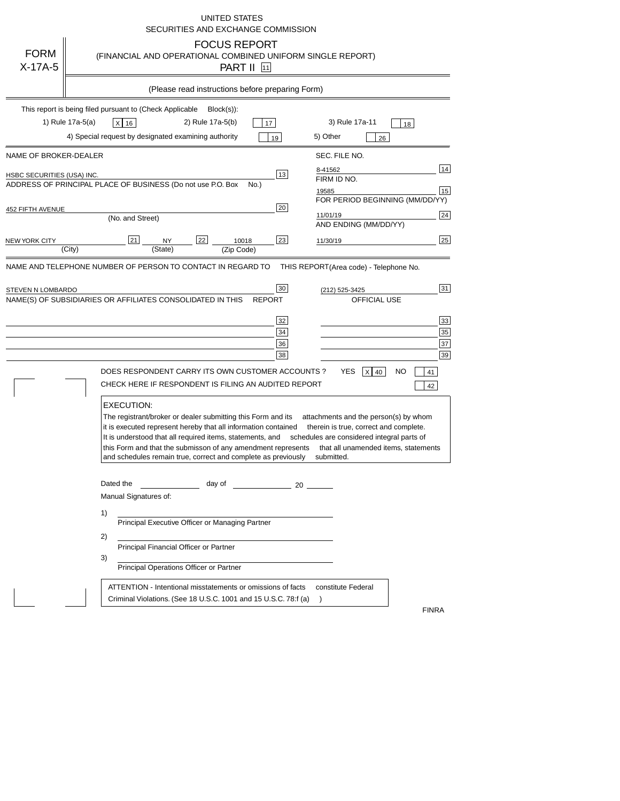| <b>FORM</b><br>$X-17A-5$   | UNITED STATES<br>SECURITIES AND EXCHANGE COMMISSION<br><b>FOCUS REPORT</b><br>(FINANCIAL AND OPERATIONAL COMBINED UNIFORM SINGLE REPORT)<br><b>PART II</b> [11]                                                                                                                                                                                                                                                                                                                                                                          |
|----------------------------|------------------------------------------------------------------------------------------------------------------------------------------------------------------------------------------------------------------------------------------------------------------------------------------------------------------------------------------------------------------------------------------------------------------------------------------------------------------------------------------------------------------------------------------|
|                            | (Please read instructions before preparing Form)                                                                                                                                                                                                                                                                                                                                                                                                                                                                                         |
|                            | This report is being filed pursuant to (Check Applicable<br>$Block(s)$ :<br>1) Rule 17a-5(a)<br>2) Rule 17a-5(b)<br>3) Rule 17a-11<br>X 16<br>17<br>18<br>4) Special request by designated examining authority<br>5) Other<br>19<br>26                                                                                                                                                                                                                                                                                                   |
| NAME OF BROKER-DEALER      | SEC. FILE NO.                                                                                                                                                                                                                                                                                                                                                                                                                                                                                                                            |
| HSBC SECURITIES (USA) INC. | 14<br>8-41562<br> 13 <br>FIRM ID NO.<br>ADDRESS OF PRINCIPAL PLACE OF BUSINESS (Do not use P.O. Box<br>No.)<br>15<br>19585                                                                                                                                                                                                                                                                                                                                                                                                               |
| 452 FIFTH AVENUE           | FOR PERIOD BEGINNING (MM/DD/YY)<br>20<br>24<br>11/01/19<br>(No. and Street)<br>AND ENDING (MM/DD/YY)                                                                                                                                                                                                                                                                                                                                                                                                                                     |
| NEW YORK CITY              | 25<br>21<br>22<br>23<br>NY<br>10018<br>11/30/19<br>(City)<br>(State)<br>(Zip Code)                                                                                                                                                                                                                                                                                                                                                                                                                                                       |
| STEVEN N LOMBARDO          | 31<br>30<br>(212) 525-3425<br>NAME(S) OF SUBSIDIARIES OR AFFILIATES CONSOLIDATED IN THIS<br><b>REPORT</b><br>OFFICIAL USE<br>33<br>32<br>35<br>34<br>37<br>36<br>39<br>38<br>DOES RESPONDENT CARRY ITS OWN CUSTOMER ACCOUNTS ?<br>YES<br>$X$ 40<br>NO<br>41<br>CHECK HERE IF RESPONDENT IS FILING AN AUDITED REPORT<br>42                                                                                                                                                                                                                |
|                            | <b>EXECUTION:</b><br>The registrant/broker or dealer submitting this Form and its<br>attachments and the person(s) by whom<br>it is executed represent hereby that all information contained<br>therein is true, correct and complete.<br>It is understood that all required items, statements, and<br>schedules are considered integral parts of<br>this Form and that the submisson of any amendment represents<br>that all unamended items, statements<br>and schedules remain true, correct and complete as previously<br>submitted. |
|                            | Dated the<br>day of<br>$\sim$ 20<br>Manual Signatures of:<br>1)<br>Principal Executive Officer or Managing Partner<br>2)<br>Principal Financial Officer or Partner<br>3)<br>Principal Operations Officer or Partner                                                                                                                                                                                                                                                                                                                      |
|                            | ATTENTION - Intentional misstatements or omissions of facts<br>constitute Federal<br>Criminal Violations. (See 18 U.S.C. 1001 and 15 U.S.C. 78:f (a)<br><b>FINRA</b>                                                                                                                                                                                                                                                                                                                                                                     |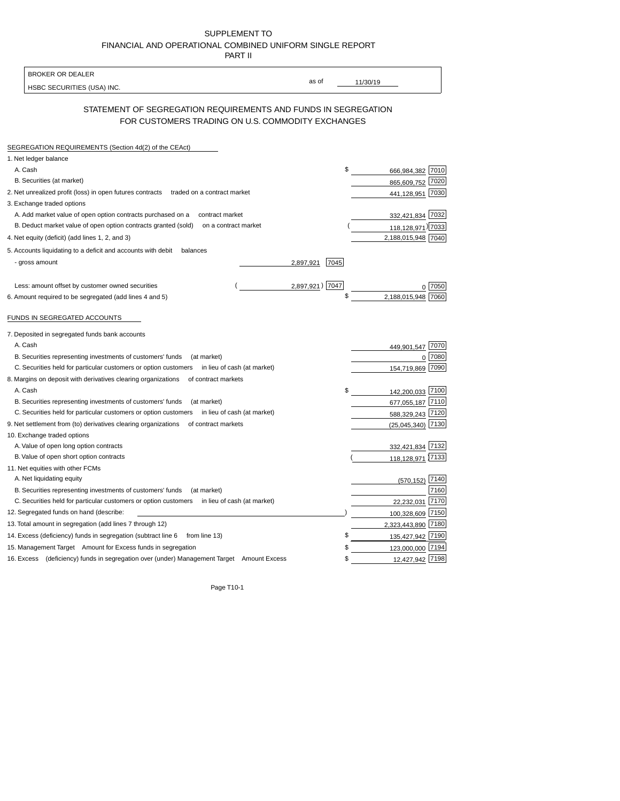| SUPPLEMENT TO                                            |
|----------------------------------------------------------|
| FINANCIAL AND OPERATIONAL COMBINED UNIFORM SINGLE REPORT |
| <b>PART II</b>                                           |

| <b>BROKER OR DEALER</b>                                                                                                                                      |                   |                             |
|--------------------------------------------------------------------------------------------------------------------------------------------------------------|-------------------|-----------------------------|
| HSBC SECURITIES (USA) INC.                                                                                                                                   | as of             | 11/30/19                    |
| STATEMENT OF SEGREGATION REQUIREMENTS AND FUNDS IN SEGREGATION<br>FOR CUSTOMERS TRADING ON U.S. COMMODITY EXCHANGES                                          |                   |                             |
| SEGREGATION REQUIREMENTS (Section 4d(2) of the CEAct)                                                                                                        |                   |                             |
| 1. Net ledger balance                                                                                                                                        |                   |                             |
| A. Cash                                                                                                                                                      |                   | \$<br>666,984,382 7010      |
| B. Securities (at market)                                                                                                                                    |                   | 865,609,752<br>7020         |
| 2. Net unrealized profit (loss) in open futures contracts<br>traded on a contract market                                                                     |                   | 7030<br>441,128,951         |
| 3. Exchange traded options                                                                                                                                   |                   |                             |
| A. Add market value of open option contracts purchased on a<br>contract market                                                                               |                   | 7032<br>332,421,834         |
| B. Deduct market value of open option contracts granted (sold)<br>on a contract market                                                                       |                   | 118, 128, 971) 7033         |
| 4. Net equity (deficit) (add lines 1, 2, and 3)                                                                                                              |                   | 2,188,015,948 7040          |
|                                                                                                                                                              |                   |                             |
| 5. Accounts liquidating to a deficit and accounts with debit<br>balances                                                                                     |                   |                             |
| - gross amount                                                                                                                                               | 7045<br>2,897,921 |                             |
| Less: amount offset by customer owned securities                                                                                                             | 2,897,921) 7047   | 7050                        |
| 6. Amount required to be segregated (add lines 4 and 5)                                                                                                      |                   | \$<br>2.188.015.948         |
| 7. Deposited in segregated funds bank accounts<br>A. Cash                                                                                                    |                   | 7070                        |
|                                                                                                                                                              |                   | 449,901,547                 |
| B. Securities representing investments of customers' funds<br>(at market)<br>in lieu of cash (at market)                                                     |                   | 7080<br>$\mathbf 0$<br>7090 |
| C. Securities held for particular customers or option customers                                                                                              |                   | 154,719,869                 |
| 8. Margins on deposit with derivatives clearing organizations<br>of contract markets<br>A. Cash                                                              |                   | 7100<br>\$                  |
| (at market)                                                                                                                                                  |                   | 142,200,033<br>7110         |
| B. Securities representing investments of customers' funds<br>C. Securities held for particular customers or option customers<br>in lieu of cash (at market) |                   | 677,055,187                 |
| 9. Net settlement from (to) derivatives clearing organizations<br>of contract markets                                                                        |                   | 7120<br>588,329,243<br>7130 |
| 10. Exchange traded options                                                                                                                                  |                   | (25,045,340)                |
| A. Value of open long option contracts                                                                                                                       |                   | 7132<br>332,421,834         |
| B. Value of open short option contracts                                                                                                                      |                   | 118,128,971 7133            |
| 11. Net equities with other FCMs                                                                                                                             |                   |                             |
| A. Net liquidating equity                                                                                                                                    |                   | 7140<br>(570, 152)          |
| B. Securities representing investments of customers' funds<br>(at market)                                                                                    |                   | 7160                        |
| C. Securities held for particular customers or option customers in lieu of cash (at market)                                                                  |                   | 7170<br>22,232,031          |
| 12. Segregated funds on hand (describe:                                                                                                                      |                   | 100,328,609 7150            |
| 13. Total amount in segregation (add lines 7 through 12)                                                                                                     |                   | 2,323,443,890 7180          |
| 14. Excess (deficiency) funds in segregation (subtract line 6 from line 13)                                                                                  |                   | \$<br>135,427,942 7190      |
| 15. Management Target Amount for Excess funds in segregation                                                                                                 |                   | \$<br>123,000,000 7194      |
| 16. Excess (deficiency) funds in segregation over (under) Management Target Amount Excess                                                                    |                   | \$<br>12,427,942 7198       |
|                                                                                                                                                              |                   |                             |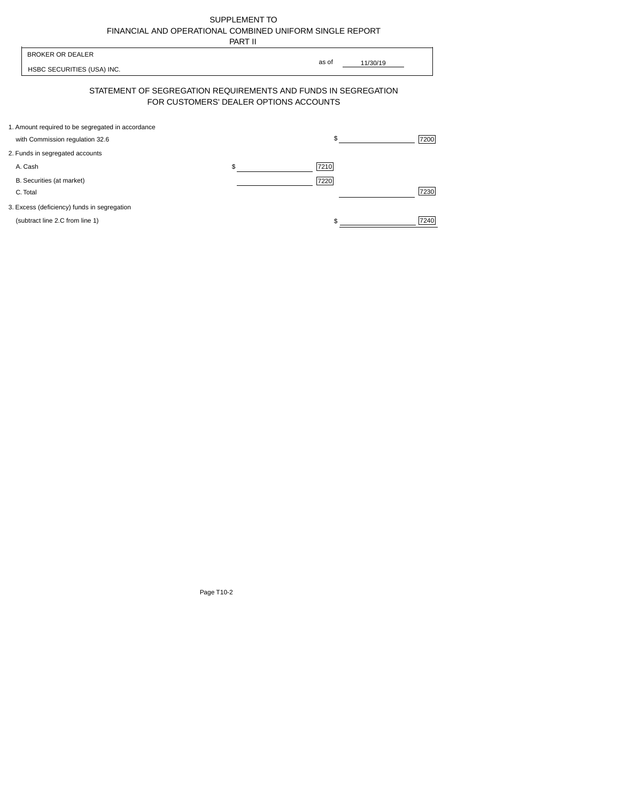| SUPPLEMENT TO                                            |
|----------------------------------------------------------|
| FINANCIAL AND OPERATIONAL COMBINED UNIFORM SINGLE REPORT |
| -----                                                    |

|                                                                                      | PART II                                |                   |
|--------------------------------------------------------------------------------------|----------------------------------------|-------------------|
| <b>BROKER OR DEALER</b><br>HSBC SECURITIES (USA) INC.                                |                                        | as of<br>11/30/19 |
| STATEMENT OF SEGREGATION REQUIREMENTS AND FUNDS IN SEGREGATION                       | FOR CUSTOMERS' DEALER OPTIONS ACCOUNTS |                   |
| 1. Amount required to be segregated in accordance<br>with Commission regulation 32.6 |                                        | \$<br>7200        |
| 2. Funds in segregated accounts                                                      |                                        |                   |
| A. Cash                                                                              | \$                                     | 7210              |
| B. Securities (at market)<br>C. Total                                                |                                        | 7220<br>7230      |
| 3. Excess (deficiency) funds in segregation                                          |                                        |                   |
| (subtract line 2.C from line 1)                                                      |                                        | 7240              |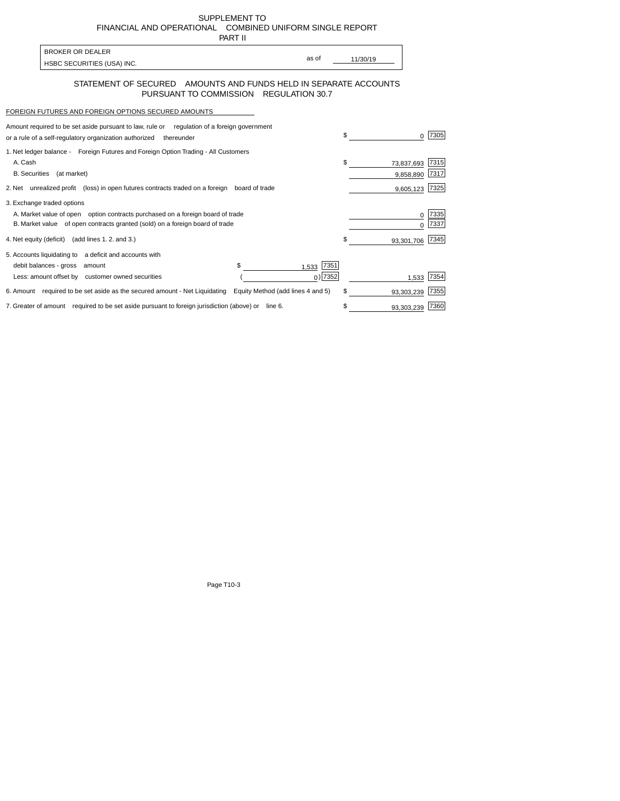SUPPLEMENT TO FINANCIALAND OPERATIONAL COMBINED UNIFORM SINGLE REPORT PART II

| BROKER OR DEALER             |       |          |
|------------------------------|-------|----------|
|                              | as of | 11/30/19 |
| I HSBC SECURITIES (USA) INC. |       |          |

## STATEMENT OF SECURED AMOUNTS AND FUNDS HELD IN SEPARATE ACCOUNTS PURSUANT TO COMMISSION REGULATION 30.7

## FOREIGN FUTURES AND FOREIGN OPTIONS SECURED AMOUNTS

| Amount required to be set aside pursuant to law, rule or<br>regulation of a foreign government<br>or a rule of a self-regulatory organization authorized<br>thereunder                       |                                    | \$                            | 7305         |
|----------------------------------------------------------------------------------------------------------------------------------------------------------------------------------------------|------------------------------------|-------------------------------|--------------|
| 1. Net ledger balance - Foreign Futures and Foreign Option Trading - All Customers<br>A. Cash<br><b>B.</b> Securities<br>(at market)                                                         |                                    | \$<br>73,837,693<br>9,858,890 | 7315<br>7317 |
| 2. Net unrealized profit (loss) in open futures contracts traded on a foreign                                                                                                                | board of trade                     | 9,605,123                     | 7325         |
| 3. Exchange traded options<br>A. Market value of open option contracts purchased on a foreign board of trade<br>B. Market value of open contracts granted (sold) on a foreign board of trade |                                    |                               | 7335<br>7337 |
| 4. Net equity (deficit) (add lines 1.2. and 3.)                                                                                                                                              |                                    | \$<br>93,301,706              | 7345         |
| 5. Accounts liquidating to a deficit and accounts with<br>debit balances - gross<br>amount<br>Less: amount offset by customer owned securities                                               | \$<br>7351<br>1,533<br>$_0$ ) 7352 | 1,533                         | 7354         |
| 6. Amount required to be set aside as the secured amount - Net Liquidating                                                                                                                   | Equity Method (add lines 4 and 5)  | \$<br>93,303,239              | 7355         |
| 7. Greater of amount required to be set aside pursuant to foreign jurisdiction (above) or                                                                                                    | line 6.                            | 93,303,239                    | 7360         |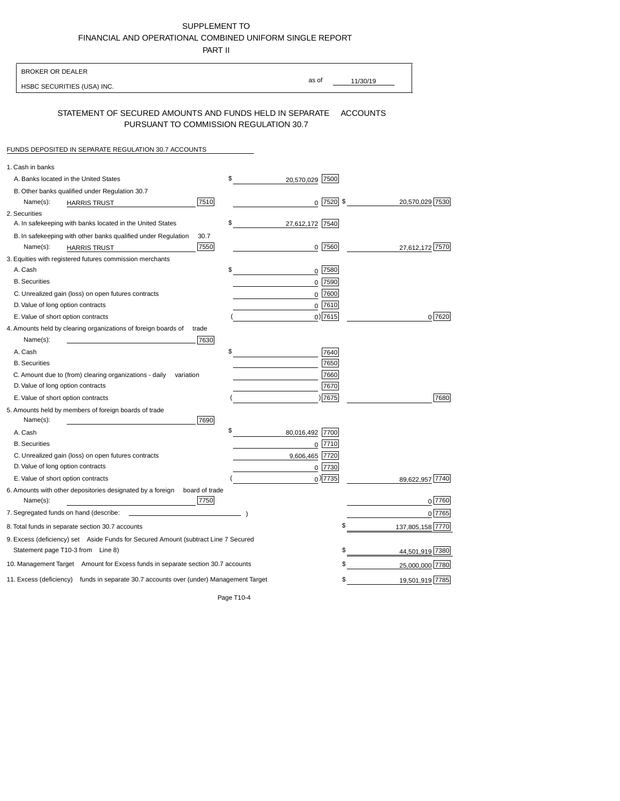## SUPPLEMENT TO FINANCIALAND OPERATIONALCOMBINED UNIFORM SINGLE REPORT

PART II

| <b>BROKER OR DEALER</b>                                                                           |                       |                                            |
|---------------------------------------------------------------------------------------------------|-----------------------|--------------------------------------------|
| HSBC SECURITIES (USA) INC.                                                                        | as of                 | 11/30/19                                   |
| STATEMENT OF SECURED AMOUNTS AND FUNDS HELD IN SEPARATE<br>PURSUANT TO COMMISSION REGULATION 30.7 |                       | <b>ACCOUNTS</b>                            |
| FUNDS DEPOSITED IN SEPARATE REGULATION 30.7 ACCOUNTS                                              |                       |                                            |
| 1. Cash in banks                                                                                  |                       |                                            |
| A. Banks located in the United States                                                             | \$<br>20,570,029 7500 |                                            |
| B. Other banks qualified under Regulation 30.7                                                    |                       |                                            |
| 7510<br>Name(s):<br><b>HARRIS TRUST</b>                                                           |                       | $0\ \overline{7520}$ \$<br>20,570,029 7530 |
| 2. Securities                                                                                     |                       |                                            |
| A. In safekeeping with banks located in the United States                                         | \$<br>27,612,172 7540 |                                            |
| B. In safekeeping with other banks qualified under Regulation<br>30.7                             |                       |                                            |
| 7550<br>Name(s):<br><b>HARRIS TRUST</b>                                                           |                       | 0 7560<br>27,612,172 7570                  |
| 3. Equities with registered futures commission merchants                                          |                       |                                            |
| A. Cash                                                                                           | \$                    | $0$ 7580                                   |
| <b>B.</b> Securities                                                                              | $\mathbf 0$           | 7590                                       |
| C. Unrealized gain (loss) on open futures contracts                                               | 0                     | 7600                                       |
| D. Value of long option contracts                                                                 | 0                     | 7610                                       |
| E. Value of short option contracts                                                                |                       | $0)$ 7615<br>0 7620                        |
| 4. Amounts held by clearing organizations of foreign boards of<br>trade                           |                       |                                            |
| 7630<br>Name(s):                                                                                  |                       |                                            |
| A. Cash                                                                                           | \$                    | 7640                                       |
| <b>B.</b> Securities                                                                              |                       | 7650                                       |
| C. Amount due to (from) clearing organizations - daily<br>variation                               |                       | 7660                                       |
| D. Value of long option contracts                                                                 |                       | 7670                                       |
| E. Value of short option contracts                                                                |                       | ) 7675<br>7680                             |
| 5. Amounts held by members of foreign boards of trade<br>Name(s):<br>7690                         |                       |                                            |
| A. Cash                                                                                           | \$<br>80,016,492 7700 |                                            |
| <b>B.</b> Securities                                                                              |                       | 0 7710                                     |
| C. Unrealized gain (loss) on open futures contracts                                               | 9,606,465 7720        |                                            |
| D. Value of long option contracts                                                                 |                       | 0 7730                                     |
| E. Value of short option contracts                                                                |                       | $0$ ) 7735<br>89.622.957                   |
| 6. Amounts with other depositories designated by a foreign<br>board of trade                      |                       |                                            |
| 7750<br>Name(s):                                                                                  |                       | 0 7760                                     |
| 7. Segregated funds on hand (describe:                                                            |                       | $0$ [7765]                                 |
| 8. Total funds in separate section 30.7 accounts                                                  |                       | \$<br>137,805,158 7770                     |
| 9. Excess (deficiency) set Aside Funds for Secured Amount (subtract Line 7 Secured                |                       |                                            |
| Statement page T10-3 from Line 8)                                                                 |                       | \$<br>44,501,919 7380                      |
| 10. Management Target Amount for Excess funds in separate section 30.7 accounts                   |                       | 25,000,000 7780<br>$\int$                  |
| 11. Excess (deficiency) funds in separate 30.7 accounts over (under) Management Target            |                       | 19,501,919 7785<br>$\sim$                  |
|                                                                                                   |                       |                                            |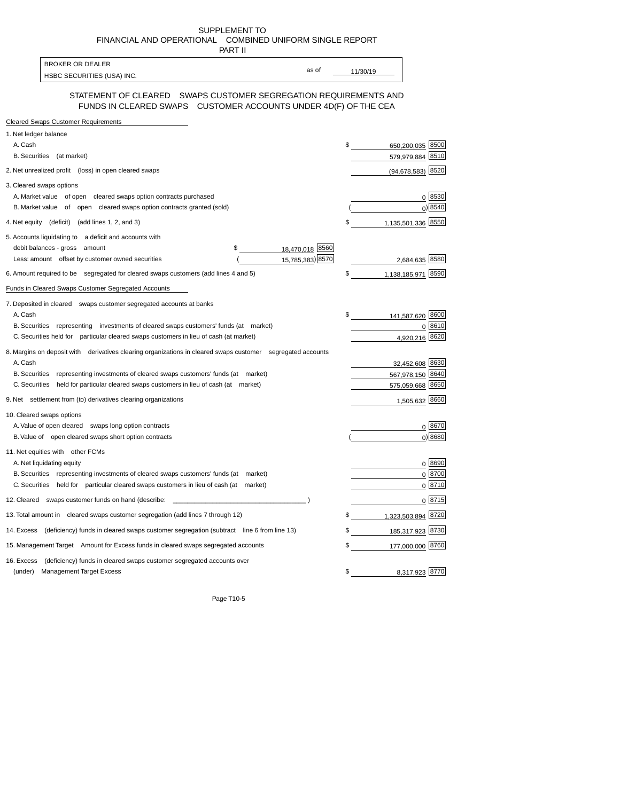SUPPLEMENT TO FINANCIALAND OPERATIONAL COMBINED UNIFORM SINGLE REPORT

| PART II                                                                                                                              |          |                     |               |
|--------------------------------------------------------------------------------------------------------------------------------------|----------|---------------------|---------------|
| <b>BROKER OR DEALER</b><br>as of                                                                                                     |          |                     |               |
| HSBC SECURITIES (USA) INC.                                                                                                           | 11/30/19 |                     |               |
| STATEMENT OF CLEARED  SWAPS CUSTOMER SEGREGATION REQUIREMENTS AND<br>FUNDS IN CLEARED SWAPS CUSTOMER ACCOUNTS UNDER 4D(F) OF THE CEA |          |                     |               |
| <b>Cleared Swaps Customer Requirements</b>                                                                                           |          |                     |               |
| 1. Net ledger balance                                                                                                                |          |                     |               |
| A. Cash                                                                                                                              | \$       | 650,200,035 8500    |               |
| B. Securities (at market)                                                                                                            |          | 579,979,884 8510    |               |
| 2. Net unrealized profit (loss) in open cleared swaps                                                                                |          | $(94,678,583)$ 8520 |               |
| 3. Cleared swaps options                                                                                                             |          |                     |               |
| A. Market value of open cleared swaps option contracts purchased                                                                     |          |                     | 0 8530        |
| B. Market value of open cleared swaps option contracts granted (sold)                                                                |          |                     | 0 8540        |
| 4. Net equity (deficit) (add lines 1, 2, and 3)                                                                                      | \$       | 1,135,501,336 8550  |               |
| 5. Accounts liquidating to a deficit and accounts with                                                                               |          |                     |               |
| 18,470,018 8560<br>debit balances - gross amount<br>\$                                                                               |          |                     |               |
| Less: amount offset by customer owned securities<br>15,785,383) 8570                                                                 |          | 2,684,635 8580      |               |
| 6. Amount required to be segregated for cleared swaps customers (add lines 4 and 5)                                                  | \$       | 1,138,185,971       | 8590          |
| Funds in Cleared Swaps Customer Segregated Accounts                                                                                  |          |                     |               |
| 7. Deposited in cleared swaps customer segregated accounts at banks                                                                  |          |                     |               |
| A. Cash                                                                                                                              |          | 141,587,620 8600    |               |
| B. Securities representing investments of cleared swaps customers' funds (at market)                                                 |          |                     | 0 8610        |
| C. Securities held for particular cleared swaps customers in lieu of cash (at market)                                                |          | 4,920,216 8620      |               |
| 8. Margins on deposit with derivatives clearing organizations in cleared swaps customer segregated accounts                          |          |                     |               |
| A. Cash                                                                                                                              |          | 32,452,608 8630     |               |
| B. Securities representing investments of cleared swaps customers' funds (at market)                                                 |          | 567,978,150 8640    |               |
| C. Securities held for particular cleared swaps customers in lieu of cash (at market)                                                |          | 575,059,668 8650    |               |
| 9. Net settlement from (to) derivatives clearing organizations                                                                       |          | 1,505,632 8660      |               |
| 10. Cleared swaps options                                                                                                            |          |                     |               |
| A. Value of open cleared swaps long option contracts                                                                                 |          |                     | 0 8670        |
| B. Value of open cleared swaps short option contracts                                                                                |          |                     | 0 8680        |
| 11. Net equities with other FCMs                                                                                                     |          |                     |               |
| A. Net liquidating equity                                                                                                            |          |                     | 0 8690        |
| B. Securities representing investments of cleared swaps customers' funds (at market)                                                 |          |                     | $0^{8700}$    |
| C. Securities held for particular cleared swaps customers in lieu of cash (at market)                                                |          |                     | 0 8710        |
| 12. Cleared swaps customer funds on hand (describe:                                                                                  |          |                     | 0 <u>8715</u> |
| 13. Total amount in cleared swaps customer segregation (add lines 7 through 12)                                                      | \$       | 1,323,503,894 8720  |               |
| 14. Excess (deficiency) funds in cleared swaps customer segregation (subtract line 6 from line 13)                                   | \$       | 185,317,923 8730    |               |
| 15. Management Target Amount for Excess funds in cleared swaps segregated accounts                                                   | \$       | 177,000,000 8760    |               |
| (deficiency) funds in cleared swaps customer segregated accounts over<br>16. Excess                                                  |          |                     |               |
| (under)<br><b>Management Target Excess</b>                                                                                           | \$       | 8,317,923 8770      |               |
|                                                                                                                                      |          |                     |               |